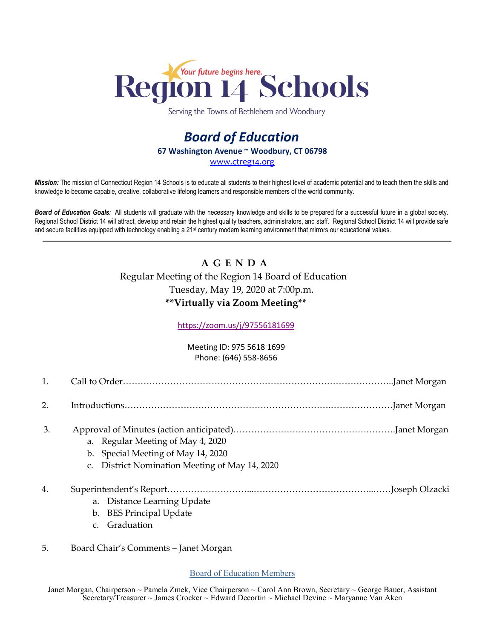

Serving the Towns of Bethlehem and Woodbury

## *Board of Education* **67 Washington Avenue ~ Woodbury, CT 06798** [www.ctreg14.org](http://www.ctreg14.org/)

*Mission:* The mission of Connecticut Region 14 Schools is to educate all students to their highest level of academic potential and to teach them the skills and knowledge to become capable, creative, collaborative lifelong learners and responsible members of the world community.

*Board of Education Goals:* All students will graduate with the necessary knowledge and skills to be prepared for a successful future in a global society. Regional School District 14 will attract, develop and retain the highest quality teachers, administrators, and staff. Regional School District 14 will provide safe and secure facilities equipped with technology enabling a 21<sup>st</sup> century modern learning environment that mirrors our educational values.

## **A G E N D A** Regular Meeting of the Region 14 Board of Education Tuesday, May 19, 2020 at 7:00p.m. **\*\*Virtually via Zoom Meeting\*\***

[https://zoom.us/j/97556181699](https://www.google.com/url?q=https://zoom.us/j/97556181699&sa=D&ust=1589905398469000&usg=AOvVaw2M_keEqPsYnVxhvr_bETO9)

## Meeting ID: 975 5618 1699 Phone: (646) 558-8656

| 2. |                                                                                                                           |  |
|----|---------------------------------------------------------------------------------------------------------------------------|--|
| 3. | a. Regular Meeting of May 4, 2020<br>b. Special Meeting of May 14, 2020<br>c. District Nomination Meeting of May 14, 2020 |  |
| 4. | a. Distance Learning Update<br>b. BES Principal Update                                                                    |  |

- c. Graduation
- 5. Board Chair's Comments Janet Morgan

Board of Education Members

Janet Morgan, Chairperson ~ Pamela Zmek, Vice Chairperson ~ Carol Ann Brown, Secretary ~ George Bauer, Assistant Secretary/Treasurer ~ James Crocker ~ Edward Decortin ~ Michael Devine ~ Maryanne Van Aken